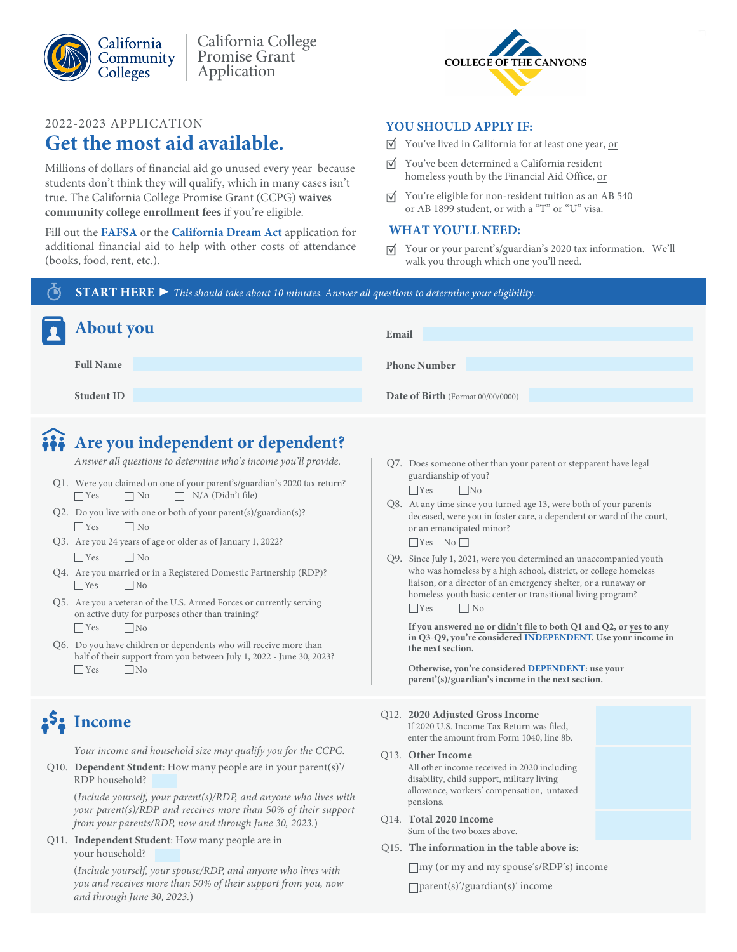

(books, food, rent, etc.).

2022-2023 APPLICATION

**Get the most aid available.**

Millions of dollars of financial aid go unused every year because students don't think they will qualify, which in many cases isn't true. The California College Promise Grant (CCPG) **waives community college enrollment fees** if you're eligible.

Fill out the **[FAFSA](https://studentaid.gov/h/apply-for-aid/fafsa)** or the **[California Dream Act](https://dream.csac.ca.gov/)** application for additional financial aid to help with other costs of attendance

California College Promise Grant Application



#### **YOU SHOULD APPLY IF:**

- You've lived in California for at least one year, or
- $\overrightarrow{v}$  You've been determined a California resident homeless youth by the Financial Aid Office, or
- $\overrightarrow{v}$  You're eligible for non-resident tuition as an AB 540 or AB 1899 student, or with a "T" or "U" visa.

#### **WHAT YOU'LL NEED:**

Your or your parent's/guardian's 2020 tax information. We'll walk you through which one you'll need.

**START HERE ▶** *This should take about 10 minutes. Answer all questions to determine your eligibility.*

| About you         | Email                             |
|-------------------|-----------------------------------|
| <b>Full Name</b>  | <b>Phone Number</b>               |
| <b>Student ID</b> | Date of Birth (Format 00/00/0000) |

## **Are you independent or dependent?**

*Answer all questions to determine who's income you'll provide.*

- Q1. Were you claimed on one of your parent's/guardian's 2020 tax return?  $\Box$  Yes  $\Box$  No  $\Box$  N/A (Didn't file)
- Q2. Do you live with one or both of your parent(s)/guardian(s)?  $\Box$  Yes  $\Box$  No
- Q3. Are you 24 years of age or older as of January 1, 2022?  $\Box$  Yes  $\Box$  No
- Q4. Are you married or in a Registered Domestic Partnership (RDP)?  $\Box$  Yes  $\Box$  No
- Q5. Are you a veteran of the U.S. Armed Forces or currently serving on active duty for purposes other than training?  $\Box$  Yes  $\Box$ No
- Q6. Do you have children or dependents who will receive more than half of their support from you between July 1, 2022 - June 30, 2023?  $\Box$  Yes No

# **Income**

*Your income and household size may qualify you for the CCPG.*

Q10. **Dependent Student**: How many people are in your parent(s)'/ RDP household?

(*Include yourself, your parent(s)/RDP, and anyone who lives with your parent(s)/RDP and receives more than 50% of their support from your parents/RDP, now and through June 30, 2023.*)

Q11. **Independent Student**: How many people are in your household?

> (*Include yourself, your spouse/RDP, and anyone who lives with you and receives more than 50% of their support from you, now and through June 30, 2023.*)

Q7. Does someone other than your parent or stepparent have legal guardianship of you?

 $\Box$ Yes No

- Q8. At any time since you turned age 13, were both of your parents deceased, were you in foster care, a dependent or ward of the court, or an emancipated minor?  $\Box$ Yes No $\Box$
- Q9. Since July 1, 2021, were you determined an unaccompanied youth who was homeless by a high school, district, or college homeless liaison, or a director of an emergency shelter, or a runaway or homeless youth basic center or transitional living program? No No

**If you answered no or didn't file to both Q1 and Q2, or yes to any in Q3-Q9, you're considered INDEPENDENT. Use your income in the next section.**

**Otherwise, you're considered DEPENDENT: use your parent'(s)/guardian's income in the next section.**

#### Q12. **2020 Adjusted Gross Income**

| Q14. Total 2020 Income                                                                                                                                                   |  |
|--------------------------------------------------------------------------------------------------------------------------------------------------------------------------|--|
| Q13. Other Income<br>All other income received in 2020 including<br>disability, child support, military living<br>allowance, workers' compensation, untaxed<br>pensions. |  |
| If 2020 U.S. Income Tax Return was filed,<br>enter the amount from Form 1040, line 8b.                                                                                   |  |

- Sum of the two boxes above. Q15. **The information in the table above is**:
- my (or my and my spouse's/RDP's) income

parent(s)'/guardian(s)' income